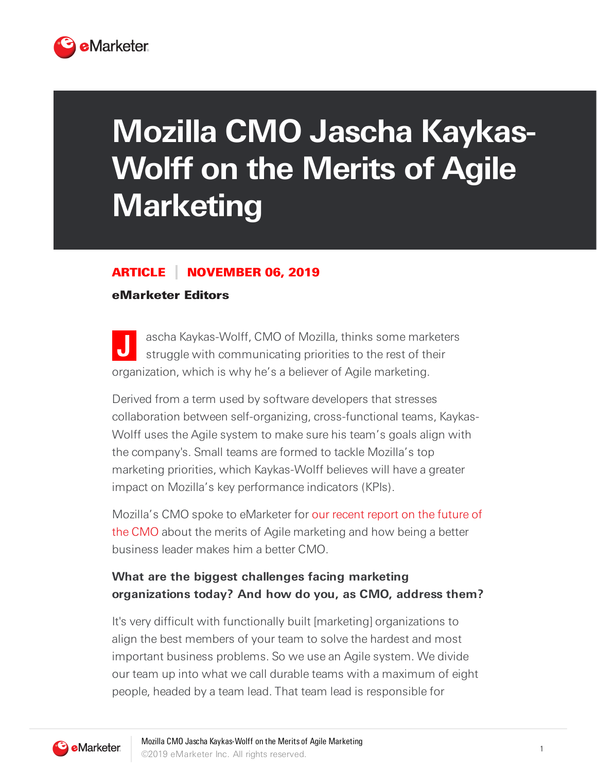

# **Mozilla CMO Jascha Kaykas-Wolff on the Merits of Agile Marketing**

### ARTICLE NOVEMBER 06, 2019

#### eMarketer Editors

**J** ascha Kaykas-Wolff, CMO of Mozilla, thinks some marketers struggle with communicating priorities to the rest of their organization, which is why he's a believer of Agile marketing.

Derived from a term used by software developers that stresses collaboration between self-organizing, cross-functional teams, Kaykas-Wolff uses the Agile system to make sure his team's goals align with the company's. Small teams are formed to tackle Mozilla's top marketing priorities, which Kaykas-Wolff believes will have a greater impact on Mozilla's key performance indicators (KPIs).

Mozilla's CMO spoke to eMarketer for our recent report on the future of the CMO about the merits of Agile marketing and how being a better business leader makes him a better CMO.

## **What are the biggest challenges facing marketing organizations today? And how do you, as CMO, address them?**

It's very difficult with functionally built [marketing] organizations to align the best members of your team to solve the hardest and most important business problems. So we use an Agile system. We divide our team up into what we call durable teams with a maximum of eight people, headed by a team lead. That team lead is responsible for

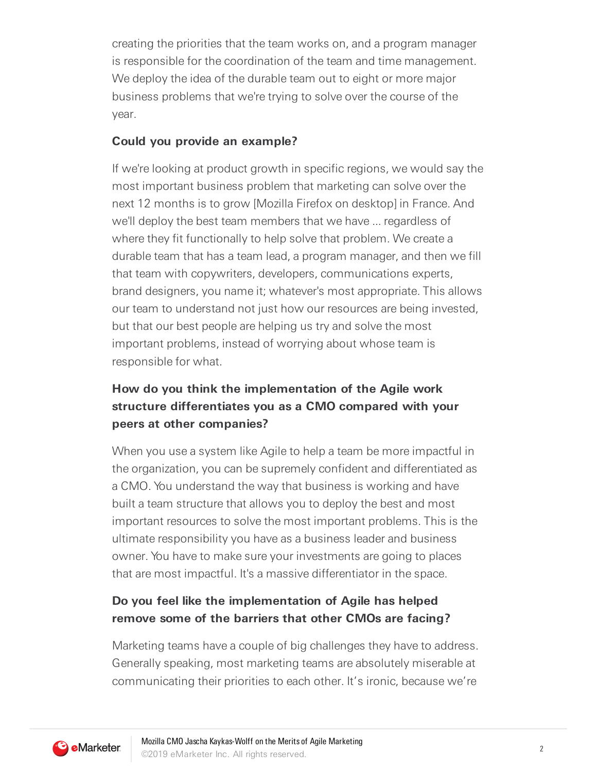creating the priorities that the team works on, and a program manager is responsible for the coordination of the team and time management. We deploy the idea of the durable team out to eight or more major business problems that we're trying to solve over the course of the year.

#### **Could you provide an example?**

If we're looking at product growth in specific regions, we would say the most important business problem that marketing can solve over the next 12 months is to grow [Mozilla Firefox on desktop] in France. And we'll deploy the best team members that we have ... regardless of where they fit functionally to help solve that problem. We create a durable team that has a team lead, a program manager, and then we fill that team with copywriters, developers, communications experts, brand designers, you name it; whatever's most appropriate. This allows our team to understand not just how our resources are being invested, but that our best people are helping us try and solve the most important problems, instead of worrying about whose team is responsible for what.

# **How do you think the implementation of the Agile work structure differentiates you as a CMO compared with your peers at other companies?**

When you use a system like Agile to help a team be more impactful in the organization, you can be supremely confident and differentiated as a CMO. You understand the way that business is working and have built a team structure that allows you to deploy the best and most important resources to solve the most important problems. This is the ultimate responsibility you have as a business leader and business owner. You have to make sure your investments are going to places that are most impactful. It's a massive differentiator in the space.

## **Do you feel like the implementation of Agile has helped remove some of the barriers that other CMOs are facing?**

Marketing teams have a couple of big challenges they have to address. Generally speaking, most marketing teams are absolutely miserable at communicating their priorities to each other. It's ironic, because we're

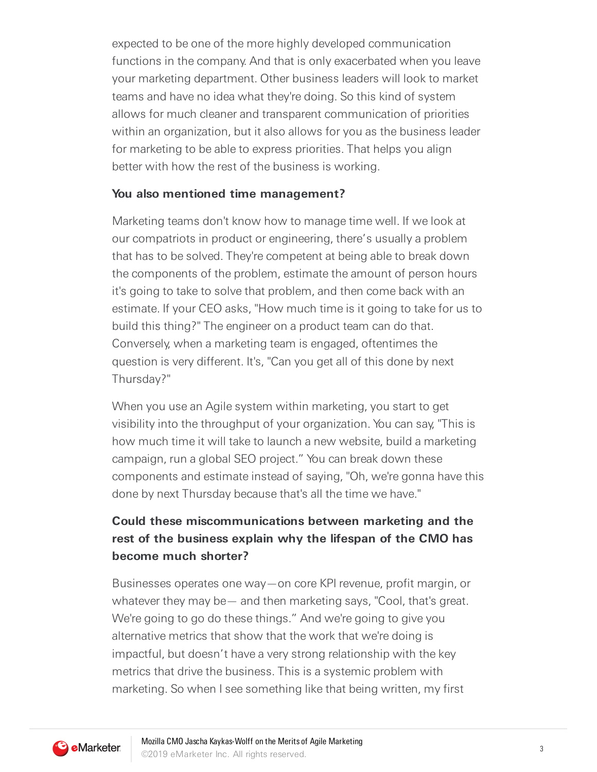expected to be one of the more highly developed communication functions in the company. And that is only exacerbated when you leave your marketing department. Other business leaders will look to market teams and have no idea what they're doing. So this kind of system allows for much cleaner and transparent communication of priorities within an organization, but it also allows for you as the business leader for marketing to be able to express priorities. That helps you align better with how the rest of the business is working.

#### **You also mentioned time management?**

Marketing teams don't know how to manage time well. If we look at our compatriots in product or engineering, there's usually a problem that has to be solved. They're competent at being able to break down the components of the problem, estimate the amount of person hours it's going to take to solve that problem, and then come back with an estimate. If your CEO asks, "How much time is it going to take for us to build this thing?" The engineer on a product team can do that. Conversely, when a marketing team is engaged, oftentimes the question is very different. It's, "Can you get all of this done by next Thursday?"

When you use an Agile system within marketing, you start to get visibility into the throughput of your organization. You can say, "This is how much time it will take to launch a new website, build a marketing campaign, run a global SEO project." You can break down these components and estimate instead of saying, "Oh, we're gonna have this done by next Thursday because that's all the time we have."

## **Could these miscommunications between marketing and the rest of the business explain why the lifespan of the CMO has become much shorter?**

Businesses operates one way—on core KPI revenue, profit margin, or whatever they may be— and then marketing says, "Cool, that's great. We're going to go do these things." And we're going to give you alternative metrics that show that the work that we're doing is impactful, but doesn't have a very strong relationship with the key metrics that drive the business. This is a systemic problem with marketing. So when I see something like that being written, my first